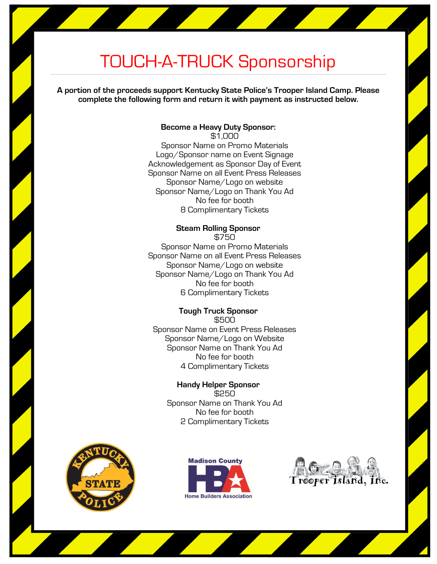# TOUCH-A-TRUCK Sponsorship

**A portion of the proceeds support Kentucky State Police's Trooper Island Camp. Please complete the following form and return it with payment as instructed below.** 

# **Become a Heavy Duty Sponsor:**

\$1,000 Sponsor Name on Promo Materials Logo/Sponsor name on Event Signage Acknowledgement as Sponsor Day of Event Sponsor Name on all Event Press Releases Sponsor Name/Logo on website Sponsor Name/Logo on Thank You Ad No fee for booth 8 Complimentary Tickets

## **Steam Rolling Sponsor**

\$750 Sponsor Name on Promo Materials Sponsor Name on all Event Press Releases Sponsor Name/Logo on website Sponsor Name/Logo on Thank You Ad No fee for booth 6 Complimentary Tickets

#### **Tough Truck Sponsor** \$500

Sponsor Name on Event Press Releases Sponsor Name/Logo on Website Sponsor Name on Thank You Ad No fee for booth 4 Complimentary Tickets

### **Handy Helper Sponsor** \$250 Sponsor Name on Thank You Ad

No fee for booth 2 Complimentary Tickets